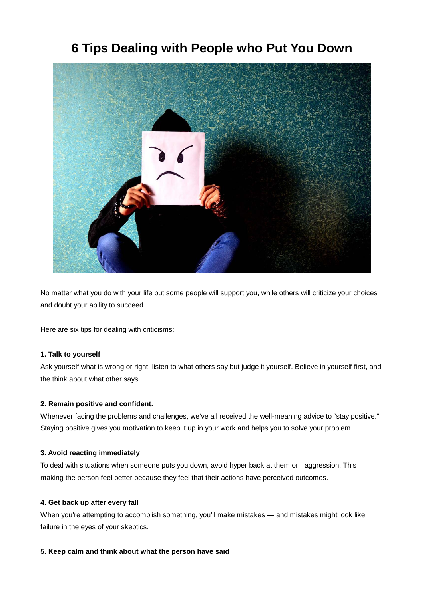# **6 Tips Dealing with People who Put You Down**



No matter what you do with your life but some people will support you, while others will criticize your choices and doubt your ability to succeed.

Here are six tips for dealing with criticisms:

# **1. Talk to yourself**

Ask yourself what is wrong or right, listen to what others say but judge it yourself. Believe in yourself first, and the think about what other says.

# **2. Remain positive and confident.**

Whenever facing the problems and challenges, we've all received the well-meaning advice to "stay positive." Staying positive gives you motivation to keep it up in your work and helps you to solve your problem.

#### **3. Avoid reacting immediately**

To deal with situations when someone puts you down, avoid hyper back at them or aggression. This making the person feel better because they feel that their actions have perceived outcomes.

# **4. Get back up after every fall**

When you're attempting to accomplish something, you'll make mistakes — and mistakes might look like failure in the eyes of your skeptics.

# **5. Keep calm and think about what the person have said**